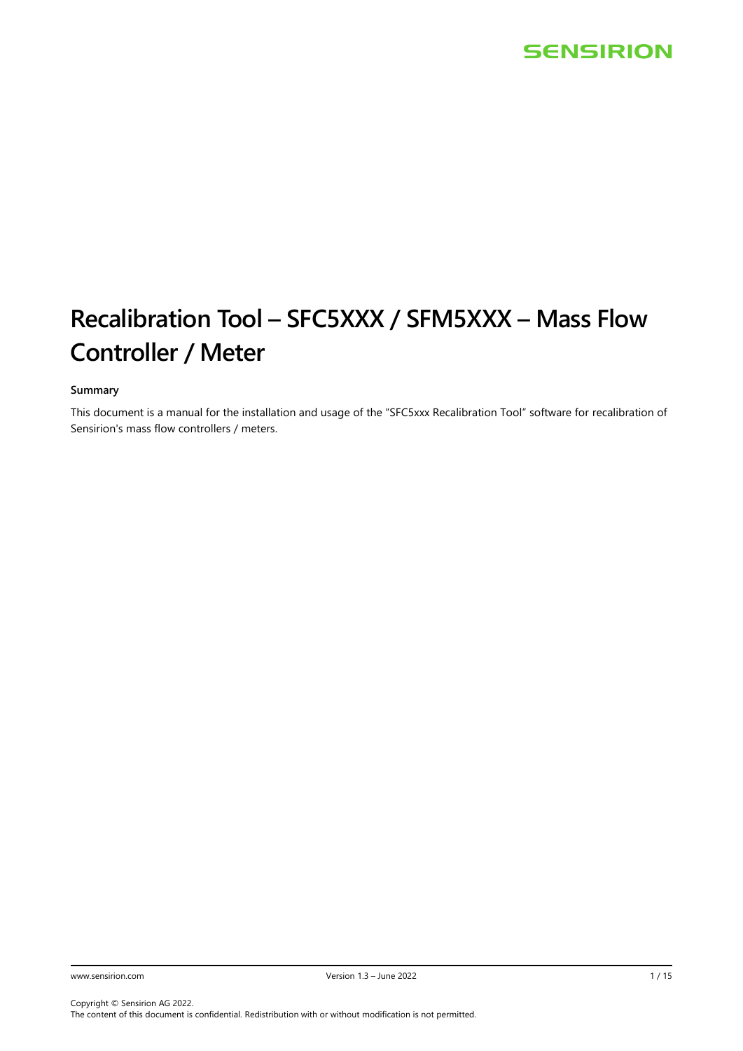# **Recalibration Tool – SFC5XXX / SFM5XXX – Mass Flow Controller / Meter**

### **Summary**

This document is a manual for the installation and usage of the "SFC5xxx Recalibration Tool" software for recalibration of Sensirion's mass flow controllers / meters.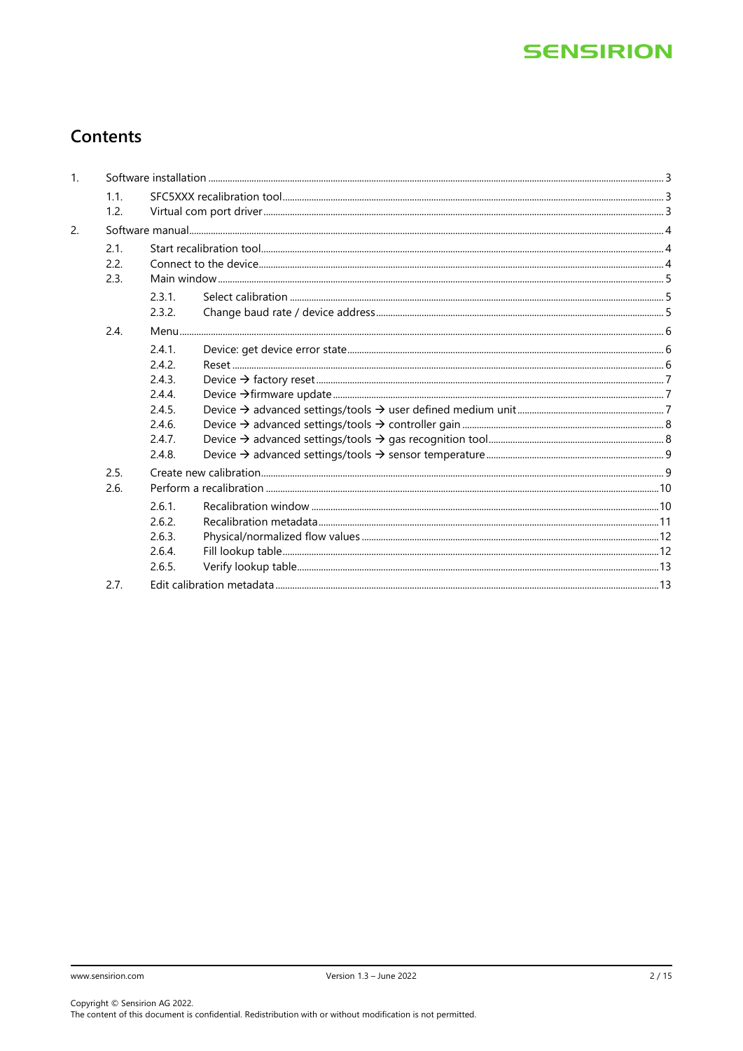# Contents

| 1. |                      |        |  |
|----|----------------------|--------|--|
|    | 1.1.                 |        |  |
|    | 1.2.                 |        |  |
| 2. |                      |        |  |
|    | 2.1.<br>2.2.<br>2.3. |        |  |
|    |                      | 2.3.1. |  |
|    |                      | 2.3.2. |  |
|    | 2.4.                 |        |  |
|    |                      | 2.4.1. |  |
|    |                      | 2.4.2. |  |
|    |                      | 2.4.3. |  |
|    |                      | 2.4.4. |  |
|    |                      | 2.4.5. |  |
|    |                      | 2.4.6. |  |
|    |                      | 2.4.7. |  |
|    |                      | 2.4.8. |  |
|    | 2.5.                 |        |  |
|    | 2.6.                 |        |  |
|    |                      | 2.6.1. |  |
|    |                      | 2.6.2. |  |
|    |                      | 2.6.3. |  |
|    |                      | 2.6.4. |  |
|    |                      | 2.6.5. |  |
|    | 2.7.                 |        |  |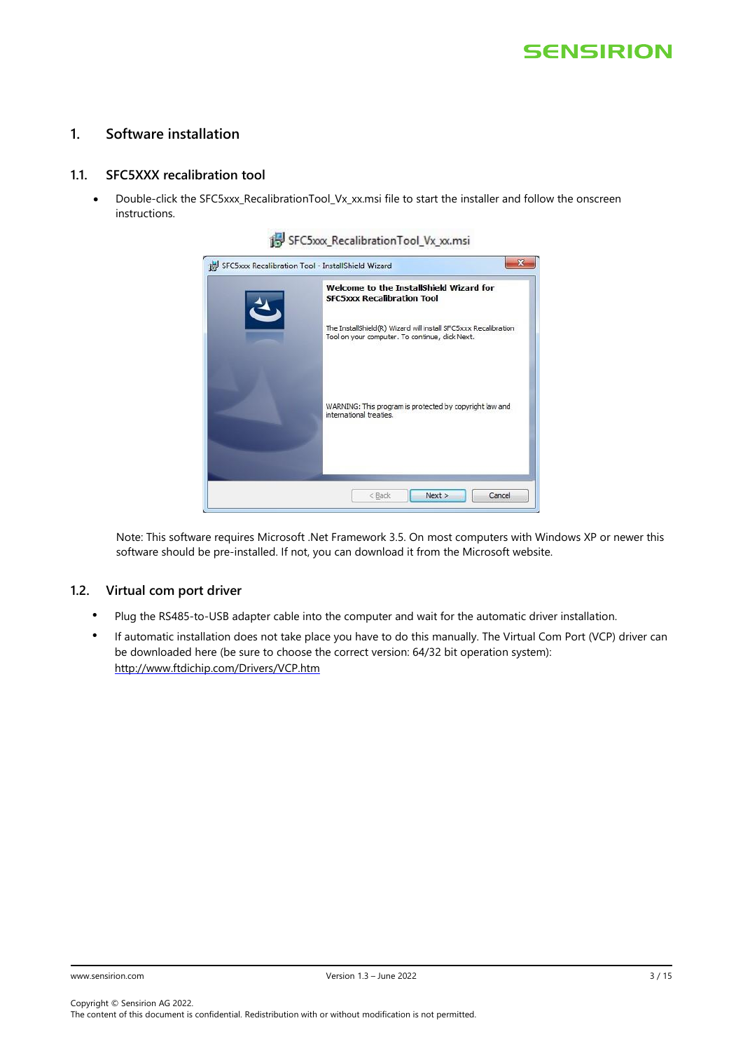## <span id="page-2-0"></span>**1. Software installation**

### <span id="page-2-1"></span>**1.1. SFC5XXX recalibration tool**

• Double-click the SFC5xxx\_RecalibrationTool\_Vx\_xx.msi file to start the installer and follow the onscreen instructions.



| Welcome to the InstallShield Wizard for<br><b>SFC5xxx Recalibration Tool</b>                                      |
|-------------------------------------------------------------------------------------------------------------------|
| The InstallShield(R) Wizard will install SFC5xxx Recalibration<br>Tool on your computer. To continue, click Next. |
| WARNING: This program is protected by copyright law and<br>international treaties.                                |
|                                                                                                                   |

Note: This software requires Microsoft .Net Framework 3.5. On most computers with Windows XP or newer this software should be pre-installed. If not, you can download it from the Microsoft website.

### <span id="page-2-2"></span>**1.2. Virtual com port driver**

- Plug the RS485-to-USB adapter cable into the computer and wait for the automatic driver installation.
- If automatic installation does not take place you have to do this manually. The Virtual Com Port (VCP) driver can be downloaded here (be sure to choose the correct version: 64/32 bit operation system): <http://www.ftdichip.com/Drivers/VCP.htm>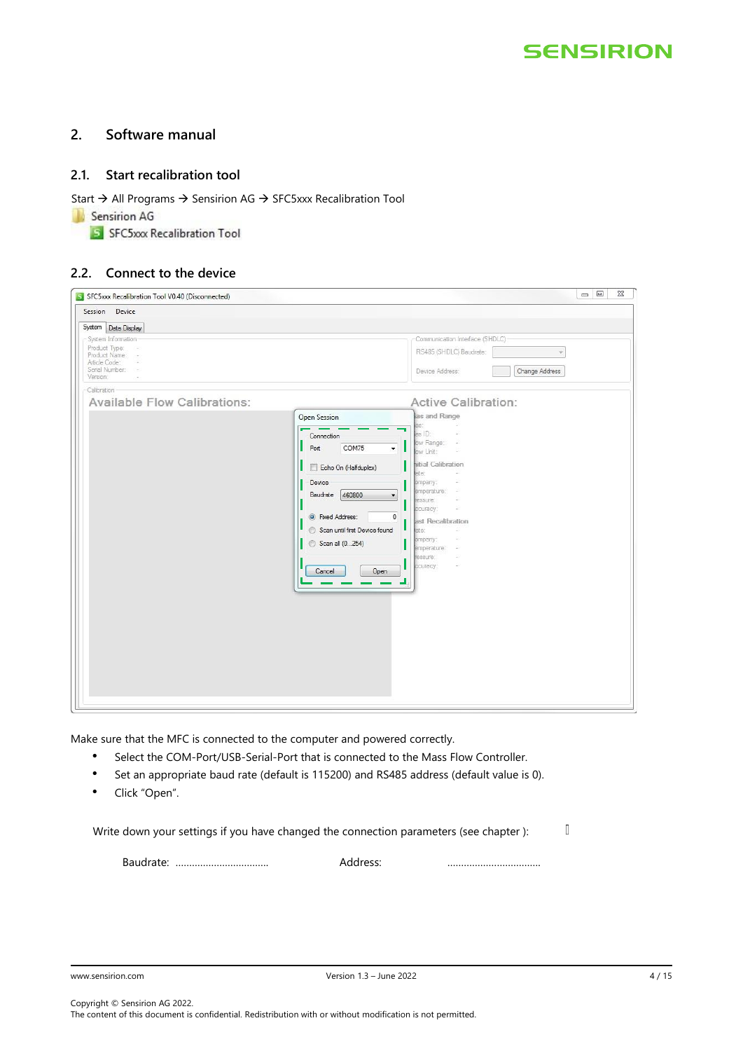## <span id="page-3-0"></span>**2. Software manual**

## <span id="page-3-1"></span>**2.1. Start recalibration tool**

Start → All Programs → Sensirion AG → SFC5xxx Recalibration Tool

Sensirion AG

S SFC5xxx Recalibration Tool

### <span id="page-3-2"></span>**2.2. Connect to the device**

| S SFC5xxx Recalibration Tool V0.40 (Disconnected) |                                                | $\Box$ $\Box$                     |
|---------------------------------------------------|------------------------------------------------|-----------------------------------|
| Session Device                                    |                                                |                                   |
| System Data Display                               |                                                |                                   |
| System Information                                |                                                | Communication Interface (SHDLC)   |
| Product Type:<br>Product Name:                    |                                                | RS485 (SHDLC) Baudrate:           |
| Article Code:<br>Serial Number:                   |                                                | Device Address:<br>Change Address |
| Version:                                          |                                                |                                   |
| Calibration                                       |                                                |                                   |
| <b>Available Flow Calibrations:</b>               |                                                | <b>Active Calibration:</b>        |
|                                                   | Open Session                                   | as and Range                      |
|                                                   | Connection                                     | as:<br>as ID:                     |
|                                                   | COM75<br>Port<br>$\overline{\phantom{a}}$      | ow Range:<br>s                    |
|                                                   |                                                | ow Unit:                          |
|                                                   | Echo On (Halfduplex)                           | hitial Calibration<br>late:       |
|                                                   | Device                                         | ompany:                           |
|                                                   | 460800<br>Baudrate<br>$\overline{\phantom{a}}$ | emperature:<br>ressure:           |
|                                                   |                                                | couracy:<br>÷                     |
|                                                   | $\mathbf{0}$<br>• Fixed Address:               | ast Recalibration                 |
|                                                   | Scan until first Device found                  | late:<br>ompany:                  |
|                                                   | Scan all (0254)                                | emperature:                       |
|                                                   |                                                | ressure:<br>ccuracy:              |
|                                                   | Open<br>Cancel                                 |                                   |
|                                                   |                                                |                                   |
|                                                   |                                                |                                   |
|                                                   |                                                |                                   |
|                                                   |                                                |                                   |
|                                                   |                                                |                                   |
|                                                   |                                                |                                   |
|                                                   |                                                |                                   |
|                                                   |                                                |                                   |
|                                                   |                                                |                                   |
|                                                   |                                                |                                   |

Make sure that the MFC is connected to the computer and powered correctly.

- Select the COM-Port/USB-Serial-Port that is connected to the Mass Flow Controller.
- Set an appropriate baud rate (default is 115200) and RS485 address (default value is 0).
- Click "Open".

 $\mathbb{I}$ Write down your settings if you have changed the connection parameters (see chapter ):

Baudrate: ……………………………. Address: …………………………….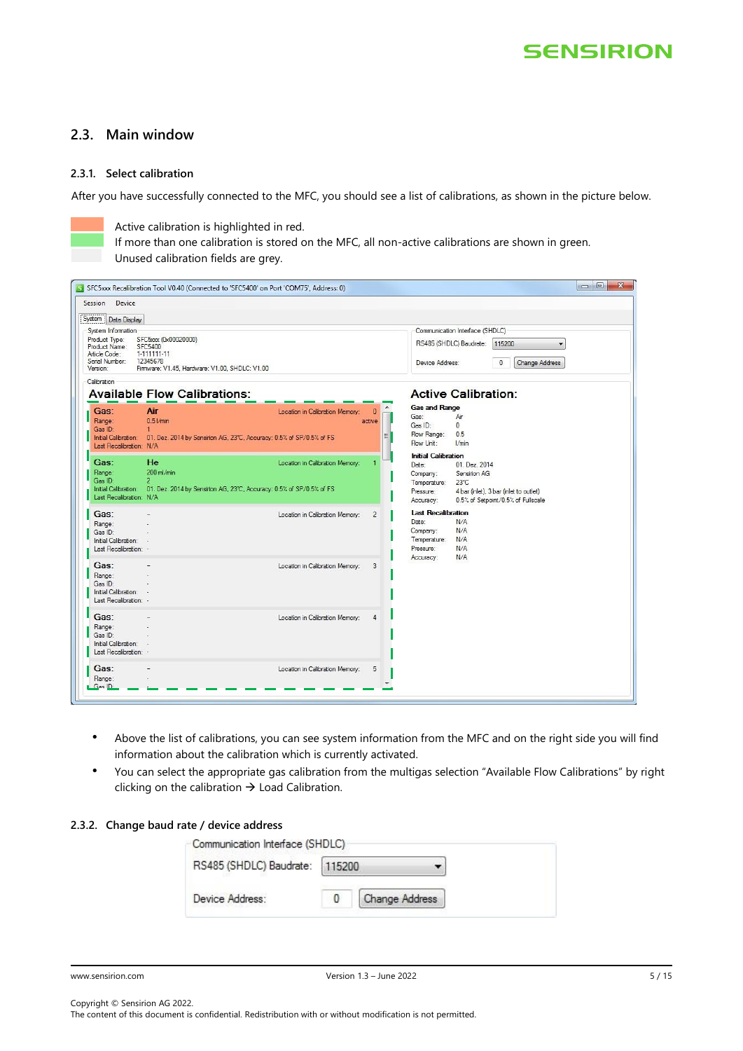## <span id="page-4-0"></span>**2.3. Main window**

### <span id="page-4-1"></span>**2.3.1. Select calibration**

After you have successfully connected to the MFC, you should see a list of calibrations, as shown in the picture below.



Active calibration is highlighted in red.

If more than one calibration is stored on the MFC, all non-active calibrations are shown in green. Unused calibration fields are grey.

| Session Device                                                                        |                                                                                                            |                                 |                    |                                                                                                                                                                                                                              |
|---------------------------------------------------------------------------------------|------------------------------------------------------------------------------------------------------------|---------------------------------|--------------------|------------------------------------------------------------------------------------------------------------------------------------------------------------------------------------------------------------------------------|
| System   Data Display                                                                 |                                                                                                            |                                 |                    |                                                                                                                                                                                                                              |
| System Information                                                                    |                                                                                                            |                                 |                    | Communication Interface (SHDLC)                                                                                                                                                                                              |
| Product Type:<br>Product Name: SFC5400<br>Article Code:<br>Serial Number:<br>Version: | SFC5xxx (0x00020000)<br>1-111111-11<br>12345678<br>Firmware: V1.45. Hardware: V1.00. SHDLC: V1.00          |                                 |                    | RS485 (SHDLC) Baudrate:<br>115200<br>Device Address:<br>$\mathbf{0}$<br>Change Address                                                                                                                                       |
| Calibration                                                                           | <b>Available Flow Calibrations:</b>                                                                        |                                 |                    | <b>Active Calibration:</b>                                                                                                                                                                                                   |
| Gas:<br>Range:<br>Gas ID:<br>Initial Calibration:<br>Last Recalibration: N/A          | Air<br>0.51/min<br>$\mathbf{1}$<br>01. Dez. 2014 by Sensirion AG, 23°C, Accuracy: 0.5% of SP/0.5% of FS    | Location in Calibration Memory: | $\Omega$<br>active | <b>Gas and Range</b><br>Gas:<br>Air<br>Gas ID:<br>0<br>Flow Range:<br>0.5<br>Flow Unit:<br>l/min                                                                                                                             |
| Gas:<br>Range:<br>Gas ID:<br>Initial Calibration:<br>Last Recalibration: N/A          | He<br>200 ml/min<br>$\overline{2}$<br>01. Dez. 2014 by Sensirion AG, 23°C, Accuracy: 0.5% of SP/0.5% of FS | Location in Calibration Memory: |                    | <b>Initial Calibration</b><br>01. Dez. 2014<br>Date:<br>Sensirion AG<br>Company:<br>Temperature:<br>$23^{\circ}$ C<br>4 bar (inlet), 3 bar (inlet to outlet)<br>Pressure:<br>0.5% of Setpoint/0.5% of Fullscale<br>Accuracy: |
| Gas:<br>Range:<br>Gas ID:<br>Initial Calibration:<br>Last Recalibration: -            |                                                                                                            | Location in Calibration Memory: | $\overline{2}$     | <b>Last Recalibration</b><br>N/A<br>Date:<br>N/A<br>Company:<br>Temperature:<br>N/A<br>Pressure:<br>N/A<br>N/A                                                                                                               |
| Gas:<br>Range:<br>Gas ID:<br>Initial Calibration:<br>Last Recalibration: -            |                                                                                                            | Location in Calibration Memory: | 3                  | Accuracy:                                                                                                                                                                                                                    |
| Gas:<br>Range:<br>Gas ID:<br>Initial Calibration:<br>Last Recalibration: -            |                                                                                                            | Location in Calibration Memory: |                    |                                                                                                                                                                                                                              |
| Gas:<br>Range:                                                                        |                                                                                                            | Location in Calibration Memory: | 5                  |                                                                                                                                                                                                                              |

- Above the list of calibrations, you can see system information from the MFC and on the right side you will find information about the calibration which is currently activated.
- You can select the appropriate gas calibration from the multigas selection "Available Flow Calibrations" by right clicking on the calibration  $\rightarrow$  Load Calibration.

#### <span id="page-4-2"></span>**2.3.2. Change baud rate / device address**

| Communication Interface (SHDLC) |                       |  |
|---------------------------------|-----------------------|--|
| RS485 (SHDLC) Baudrate: 115200  |                       |  |
| Device Address:                 | <b>Change Address</b> |  |

Copyright © Sensirion AG 2022. The content of this document is confidential. Redistribution with or without modification is not permitted.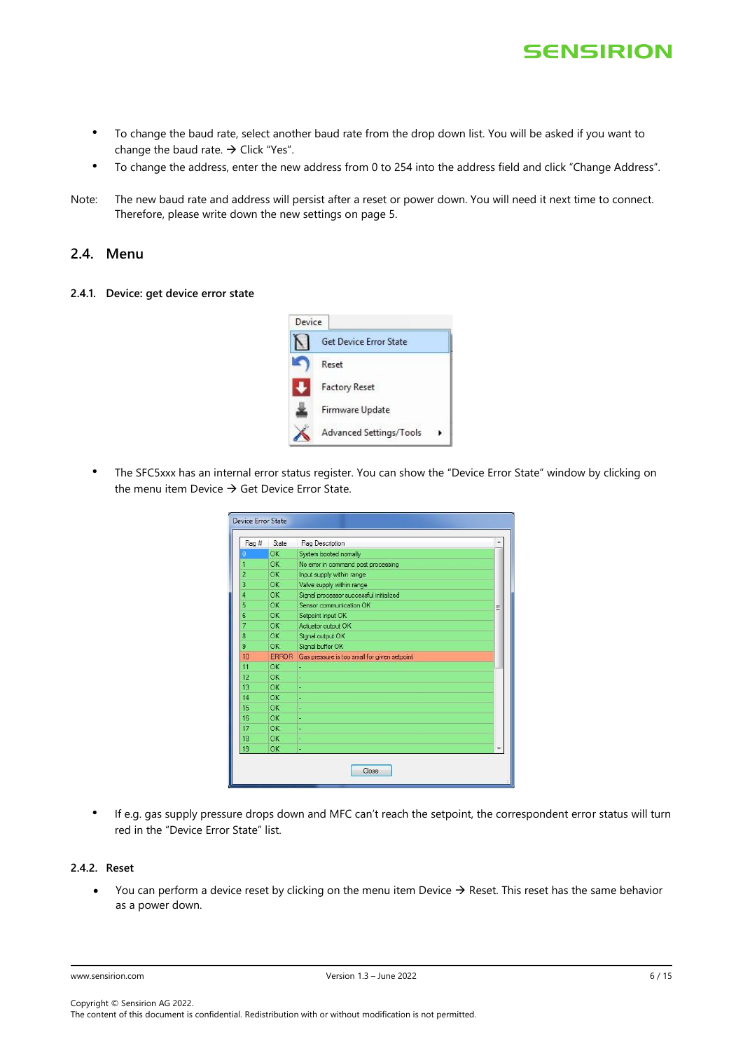

- To change the baud rate, select another baud rate from the drop down list. You will be asked if you want to change the baud rate.  $\rightarrow$  Click "Yes".
- To change the address, enter the new address from 0 to 254 into the address field and click "Change Address".
- Note: The new baud rate and address will persist after a reset or power down. You will need it next time to connect. Therefore, please write down the new settings on page 5.

### <span id="page-5-0"></span>**2.4. Menu**

<span id="page-5-1"></span>**2.4.1. Device: get device error state**



• The SFC5xxx has an internal error status register. You can show the "Device Error State" window by clicking on the menu item Device  $\rightarrow$  Get Device Error State.

| Flag # | State        | Flag Description                             |   |
|--------|--------------|----------------------------------------------|---|
| D      | OK           | System booted nomally                        |   |
|        | OK           | No error in command post processing          |   |
| 2      | OK           | Input supply within range                    |   |
| 3      | OK           | Valve supply within range                    |   |
| 4      | OK           | Signal processor successful initialized      |   |
| 5      | OK           | Sensor communication OK                      | Ξ |
| 6      | OK           | Setpoint input OK                            |   |
| 7      | OK           | Actuator output OK                           |   |
| 8      | OK           | Signal output OK                             |   |
| 9      | OK           | Signal buffer OK                             |   |
| 10     | <b>ERROR</b> | Gas pressure is too small for given setpoint |   |
| 11     | OK           | ٠                                            |   |
| 12     | OK           |                                              |   |
| 13     | OK           |                                              |   |
| 14     | OK           |                                              |   |
| 15     | OK           | ч                                            |   |
| 16     | OK           | ٠                                            |   |
| 17     | OK           |                                              |   |
| 18     | OK           | ٠                                            |   |
| 19     | OK           | ä,                                           |   |

• If e.g. gas supply pressure drops down and MFC can't reach the setpoint, the correspondent error status will turn red in the "Device Error State" list.

### <span id="page-5-2"></span>**2.4.2. Reset**

• You can perform a device reset by clicking on the menu item Device → Reset. This reset has the same behavior as a power down.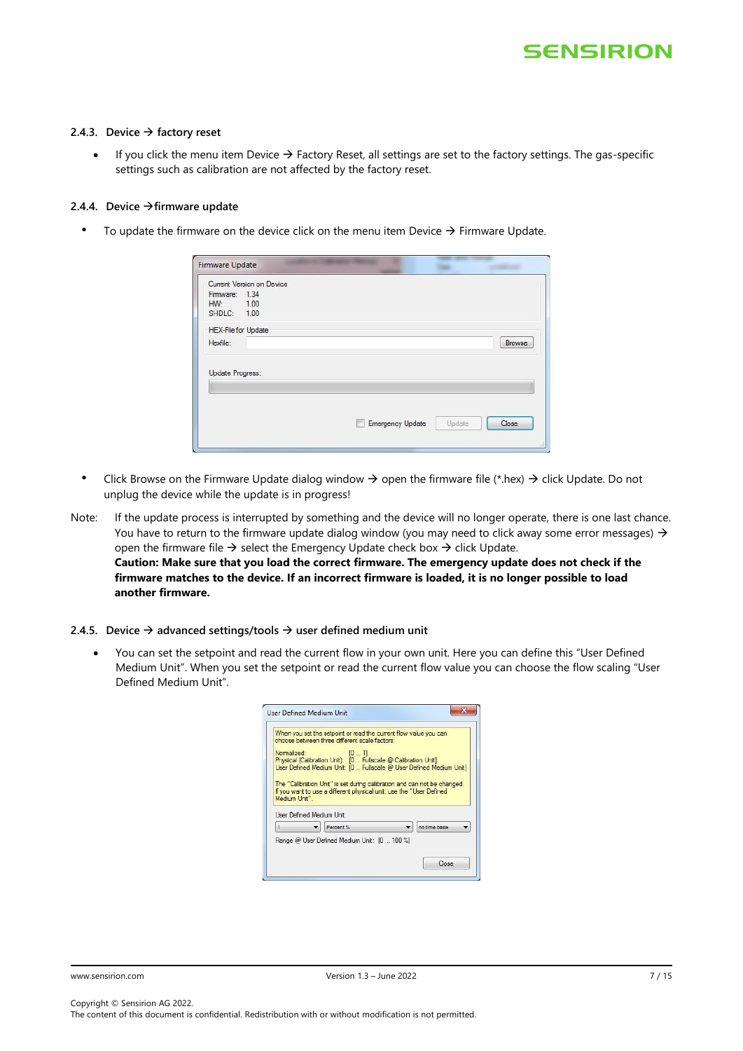#### <span id="page-6-0"></span>**2.4.3. Device** → **factory reset**

If you click the menu item Device  $\rightarrow$  Factory Reset, all settings are set to the factory settings. The gas-specific settings such as calibration are not affected by the factory reset.

#### <span id="page-6-1"></span>**2.4.4. Device** →**firmware update**

• To update the firmware on the device click on the menu item Device  $\rightarrow$  Firmware Update.

|                     | Current Version on Device |                         |        |        |
|---------------------|---------------------------|-------------------------|--------|--------|
| Firmware: 1.34      |                           |                         |        |        |
| HW: 1.00            |                           |                         |        |        |
| SHDLC: 1.00         |                           |                         |        |        |
| HEX-File for Update |                           |                         |        |        |
|                     |                           |                         |        |        |
| Hexfile:            |                           |                         |        | Browse |
| Update Progress:    |                           | <b>Emergency Update</b> | Update | Close  |

- Click Browse on the Firmware Update dialog window  $\rightarrow$  open the firmware file (\*.hex)  $\rightarrow$  click Update. Do not unplug the device while the update is in progress!
- Note: If the update process is interrupted by something and the device will no longer operate, there is one last chance. You have to return to the firmware update dialog window (you may need to click away some error messages)  $\rightarrow$ open the firmware file  $\rightarrow$  select the Emergency Update check box  $\rightarrow$  click Update. **Caution: Make sure that you load the correct firmware. The emergency update does not check if the firmware matches to the device. If an incorrect firmware is loaded, it is no longer possible to load another firmware.**
- <span id="page-6-2"></span>**2.4.5. Device** → **advanced settings/tools** → **user defined medium unit**
	- You can set the setpoint and read the current flow in your own unit. Here you can define this "User Defined Medium Unit". When you set the setpoint or read the current flow value you can choose the flow scaling "User Defined Medium Unit".

|              |                           |           | When you set the setpoint or read the current flow value you can<br>choose between three different scale factors: |                                                                          |  |
|--------------|---------------------------|-----------|-------------------------------------------------------------------------------------------------------------------|--------------------------------------------------------------------------|--|
|              | Normalized:               |           | [01]<br>Physical (Calibration Unit): [0  Fullscale @ Calibration Unit]                                            | User Defined Medium Unit: [0  Fullscale @ User Defined Medium Unit]      |  |
|              |                           |           |                                                                                                                   |                                                                          |  |
|              | User Defined Medium Unit: |           | If you want to use a different physical unit, use the "User Defined"                                              | The "Calibration Unit" is set during calibration and can not be changed. |  |
| Medium Unit" |                           | Percent % |                                                                                                                   | no time base                                                             |  |
|              |                           |           | Range @ User Defined Medium Unit: [0  100 %]                                                                      |                                                                          |  |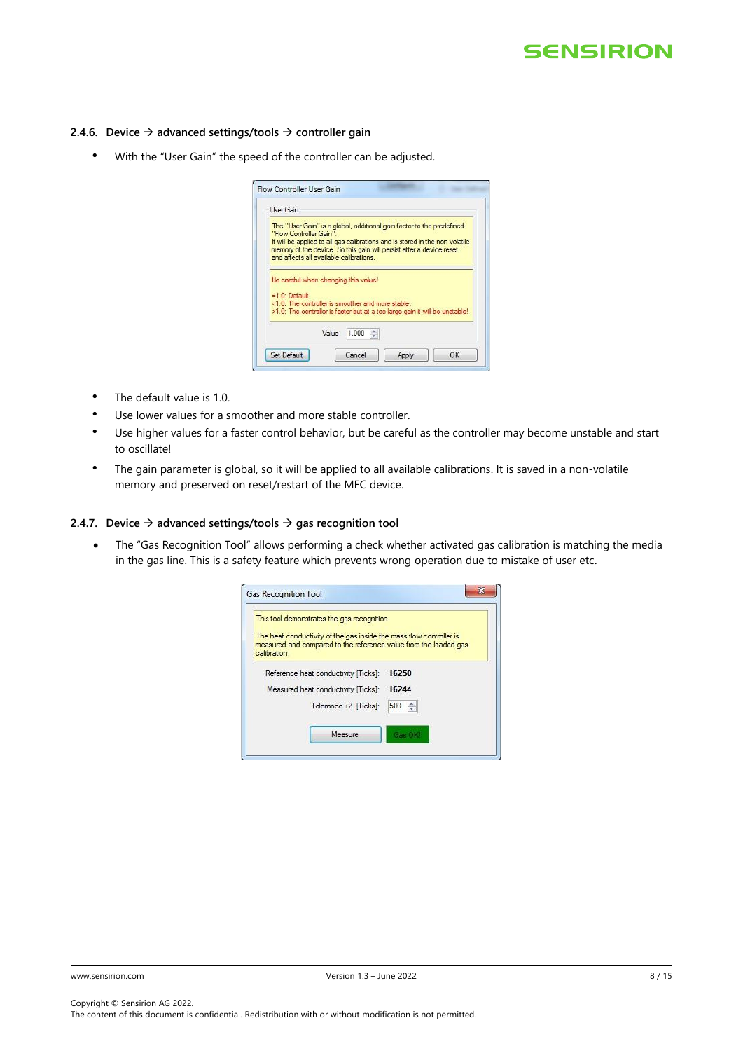#### <span id="page-7-0"></span>**2.4.6. Device** → **advanced settings/tools** → **controller gain**

• With the "User Gain" the speed of the controller can be adjusted.

| User Gain              |                                                                                                                                                                                                                                                                         |
|------------------------|-------------------------------------------------------------------------------------------------------------------------------------------------------------------------------------------------------------------------------------------------------------------------|
| "Flow Controller Gain" | The "User Gain" is a global, additional gain factor to the predefined<br>It will be applied to all gas calibrations and is stored in the non-volatile<br>memory of the device. So this gain will persist after a device reset<br>and affects all available calibrations |
| $=10$ Default          | Be careful when changing this value!<br><1.0: The controller is smoother and more stable.<br>>1.0: The controller is faster but at a too large gain it will be unstable!                                                                                                |
|                        |                                                                                                                                                                                                                                                                         |

- The default value is 1.0.
- Use lower values for a smoother and more stable controller.
- Use higher values for a faster control behavior, but be careful as the controller may become unstable and start to oscillate!
- The gain parameter is global, so it will be applied to all available calibrations. It is saved in a non-volatile memory and preserved on reset/restart of the MFC device.

#### <span id="page-7-1"></span>**2.4.7. Device** → **advanced settings/tools** → **gas recognition tool**

• The "Gas Recognition Tool" allows performing a check whether activated gas calibration is matching the media in the gas line. This is a safety feature which prevents wrong operation due to mistake of user etc.

| This tool demonstrates the gas recognition.                                     |          |
|---------------------------------------------------------------------------------|----------|
| The heat conductivity of the gas inside the mass flow controller is             |          |
| measured and compared to the reference value from the loaded gas<br>calibration |          |
| Reference heat conductivity [Ticks]:                                            | 16250    |
| Measured heat conductivity [Ticks]:                                             | 16244    |
| Tolerance +/- [Ticks]:                                                          | 500<br>÷ |
|                                                                                 |          |
|                                                                                 |          |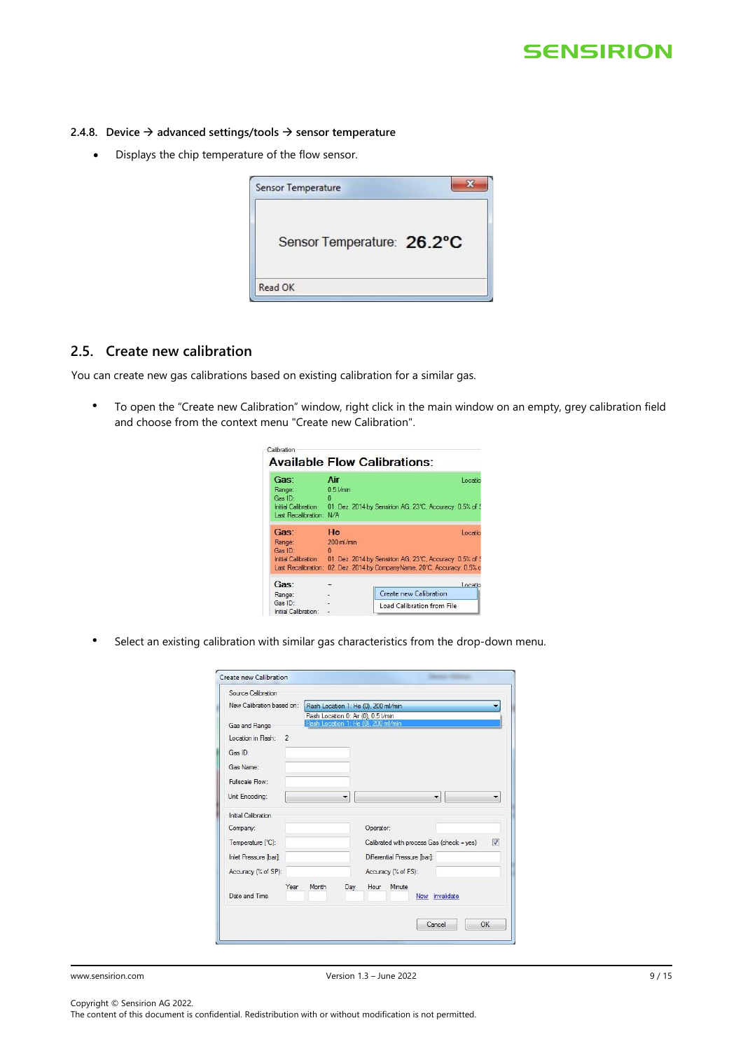#### <span id="page-8-0"></span>**2.4.8. Device** → **advanced settings/tools** → **sensor temperature**

• Displays the chip temperature of the flow sensor.

| Sensor Temperature: 26.2°C |
|----------------------------|
|                            |
|                            |

# <span id="page-8-1"></span>**2.5. Create new calibration**

You can create new gas calibrations based on existing calibration for a similar gas.

• To open the "Create new Calibration" window, right click in the main window on an empty, grey calibration field and choose from the context menu "Create new Calibration".

| Calibration                                          |                             | <b>Available Flow Calibrations:</b>                                                                              |
|------------------------------------------------------|-----------------------------|------------------------------------------------------------------------------------------------------------------|
| Gas:<br>Range:<br>Gas ID:<br>Last Recalibration: N/A | Air<br>0.51/min<br>$\Omega$ | Locatio<br>Initial Calibration: 01. Dez. 2014 by Sensirion AG. 23°C. Accuracy: 0.5% of 9                         |
| Gas:<br>Range:<br>Gas ID:                            | He<br>200 ml/min<br>n       | Locatio                                                                                                          |
| Initial Calibration:<br>Last Recalibration:          |                             | 01. Dez. 2014 by Sensirion AG, 23°C, Accuracy: 0.5% of 9<br>02. Dez. 2014 by CompanyName, 20°C, Accuracy: 0.5% o |
| Gas:                                                 |                             | Locatio                                                                                                          |
| Range:                                               |                             | Create new Calibration                                                                                           |
| GasID<br>Initial Calibration:                        |                             | Load Calibration from File                                                                                       |

• Select an existing calibration with similar gas characteristics from the drop-down menu.

| New Calibration based on:                      |       |     |                                                                              |
|------------------------------------------------|-------|-----|------------------------------------------------------------------------------|
|                                                |       |     | Flash Location 1: He (0), 200 ml/min                                         |
| Gas and Range                                  |       |     | Flash Location 0: Air (0), 0.5 I/min<br>Flash Location 1: He (0), 200 ml/min |
| Location in Flash:<br>$\overline{\phantom{a}}$ |       |     |                                                                              |
| Gas ID:                                        |       |     |                                                                              |
| Gas Name:                                      |       |     |                                                                              |
| Fullscale Flow:                                |       |     |                                                                              |
|                                                |       |     |                                                                              |
| Unit Encoding:                                 |       |     | ▼<br>▼                                                                       |
| Initial Calibration                            |       |     |                                                                              |
| Company:                                       |       |     | Operator:                                                                    |
| Temperature [°C]:                              |       |     | $\overline{\mathsf{v}}$<br>Calibrated with process Gas (check = yes)         |
| Inlet Pressure [bar]:                          |       |     | Differential Pressure [bar]:                                                 |
| Accuracy (% of SP):                            |       |     | Accuracy (% of FS):                                                          |
| Year                                           | Month | Day | Hour<br>Minute                                                               |
| Date and Time                                  |       |     | Now Invalidate                                                               |
|                                                |       |     |                                                                              |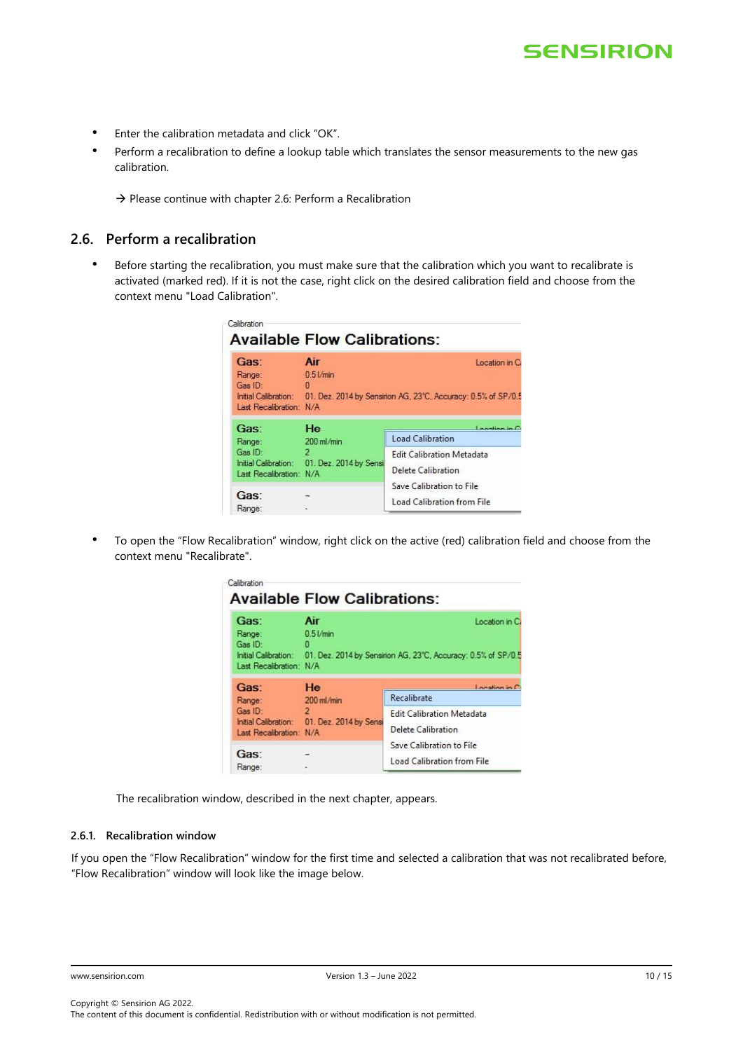- Enter the calibration metadata and click "OK".
- Perform a recalibration to define a lookup table which translates the sensor measurements to the new gas calibration.

 $\rightarrow$  Please continue with chapter 2.6: Perform a Recalibration

# <span id="page-9-0"></span>**2.6. Perform a recalibration**

• Before starting the recalibration, you must make sure that the calibration which you want to recalibrate is activated (marked red). If it is not the case, right click on the desired calibration field and choose from the context menu "Load Calibration".

| $\bf{0}$<br>Initial Calibration: 01. Dez. 2014 by Sensirion AG, 23°C, Accuracy: 0.5% of SP/0.5<br>Last Recalibration: N/A |  |  |  |  |
|---------------------------------------------------------------------------------------------------------------------------|--|--|--|--|
|                                                                                                                           |  |  |  |  |
| $L$ nominan in $\Gamma$                                                                                                   |  |  |  |  |
| Load Calibration                                                                                                          |  |  |  |  |
| <b>Edit Calibration Metadata</b>                                                                                          |  |  |  |  |
| Initial Calibration: 01. Dez. 2014 by Sensi<br>Delete Calibration                                                         |  |  |  |  |
|                                                                                                                           |  |  |  |  |
| Save Calibration to File                                                                                                  |  |  |  |  |
|                                                                                                                           |  |  |  |  |
|                                                                                                                           |  |  |  |  |

• To open the "Flow Recalibration" window, right click on the active (red) calibration field and choose from the context menu "Recalibrate".

| Gas:                                                                                                            | Air<br>Location in Ca  |                                                   |  |  |
|-----------------------------------------------------------------------------------------------------------------|------------------------|---------------------------------------------------|--|--|
| Range:                                                                                                          | $0.51$ /min            |                                                   |  |  |
| Gas ID:                                                                                                         | o                      |                                                   |  |  |
| Initial Calibration:<br>01. Dez. 2014 by Sensinon AG, 23°C, Accuracy: 0.5% of SP/0.5<br>Last Recalibration: N/A |                        |                                                   |  |  |
|                                                                                                                 |                        |                                                   |  |  |
|                                                                                                                 |                        |                                                   |  |  |
| Gas:                                                                                                            | He                     |                                                   |  |  |
|                                                                                                                 | 200 ml/min             | Recalibrate                                       |  |  |
| Range:<br>Gas ID:                                                                                               | $\overline{2}$         | Location in C<br><b>Edit Calibration Metadata</b> |  |  |
| Initial Calibration:                                                                                            | 01. Dez. 2014 by Sensi |                                                   |  |  |
| Last Recalibration: N/A                                                                                         |                        | Delete Calibration                                |  |  |
|                                                                                                                 |                        | Save Calibration to File                          |  |  |
| Gas:                                                                                                            |                        | Load Calibration from File                        |  |  |

The recalibration window, described in the next chapter, appears.

### <span id="page-9-1"></span>**2.6.1. Recalibration window**

If you open the "Flow Recalibration" window for the first time and selected a calibration that was not recalibrated before, "Flow Recalibration" window will look like the image below.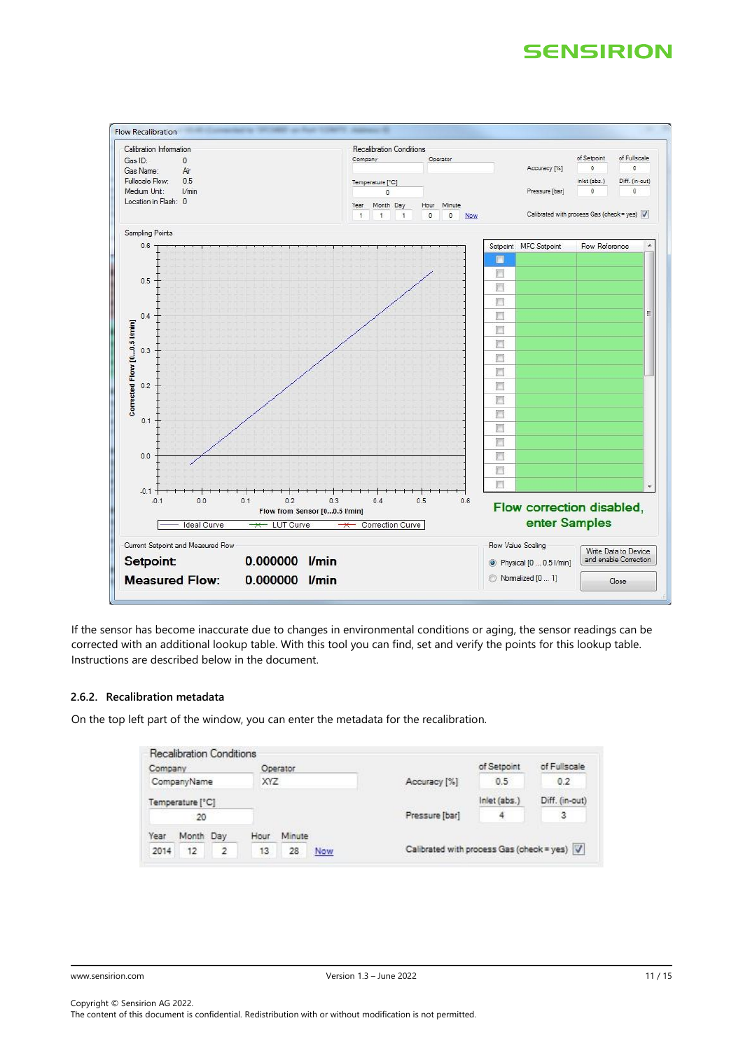

If the sensor has become inaccurate due to changes in environmental conditions or aging, the sensor readings can be corrected with an additional lookup table. With this tool you can find, set and verify the points for this lookup table. Instructions are described below in the document.

#### <span id="page-10-0"></span>**2.6.2. Recalibration metadata**

On the top left part of the window, you can enter the metadata for the recalibration.

| Recalibration Conditions<br>Company<br>CompanyName<br>the property of the property of |                  | Operator<br>XYZ<br><b>COLLEGAC</b> |      |        | Accuracy [%]   | of Setpoint<br>0.5                          | of Fullscale<br>0.2 |                |
|---------------------------------------------------------------------------------------|------------------|------------------------------------|------|--------|----------------|---------------------------------------------|---------------------|----------------|
|                                                                                       |                  |                                    |      |        |                |                                             |                     |                |
|                                                                                       | Temperature [°C] |                                    |      |        |                |                                             | Inlet (abs.)        | Diff. (in-out) |
| 20                                                                                    |                  |                                    |      |        | Pressure [bar] | $\frac{4}{3}$                               | 3                   |                |
| Year                                                                                  | Month Day        |                                    | Hour | Minute |                |                                             |                     |                |
| 2014                                                                                  | 12               | $\overline{2}$                     | 13   | 28     | Now            | Calibrated with process Gas (check = yes) V |                     |                |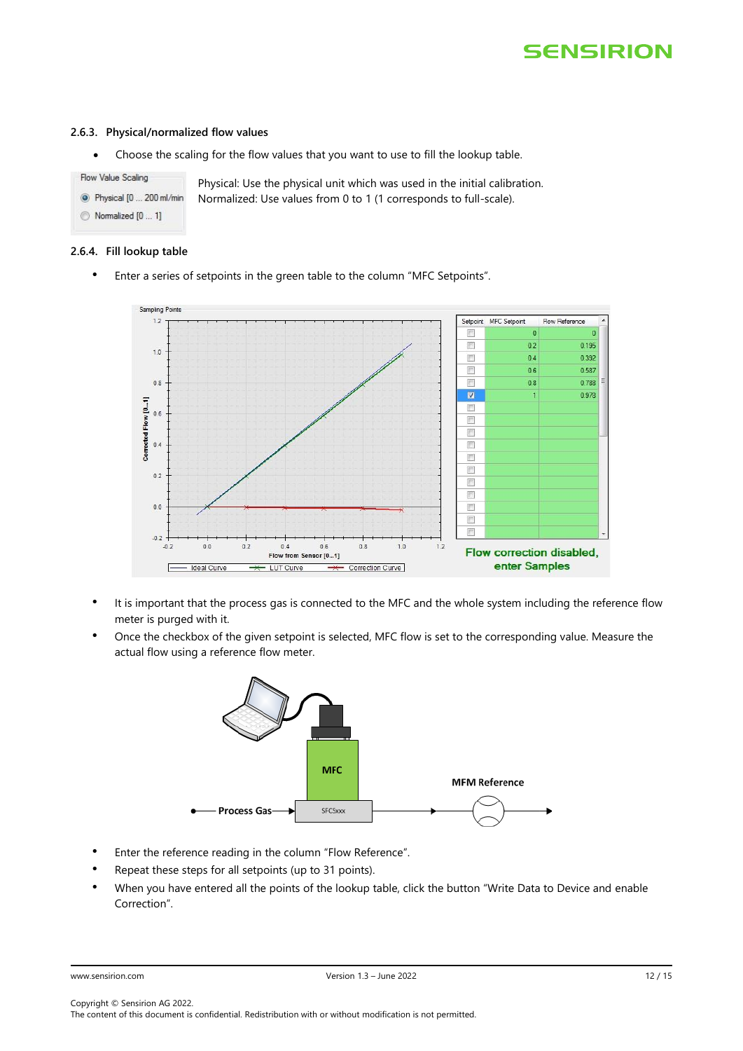#### <span id="page-11-0"></span>**2.6.3. Physical/normalized flow values**

• Choose the scaling for the flow values that you want to use to fill the lookup table.

Flow Value Scaling Physical: Use the physical unit which was used in the initial calibration. <sup>O</sup> Physical [0 ... 200 ml/min Normalized: Use values from 0 to 1 (1 corresponds to full-scale). Normalized [0 ... 1]

#### <span id="page-11-1"></span>**2.6.4. Fill lookup table**

• Enter a series of setpoints in the green table to the column "MFC Setpoints".



- It is important that the process gas is connected to the MFC and the whole system including the reference flow meter is purged with it.
- Once the checkbox of the given setpoint is selected, MFC flow is set to the corresponding value. Measure the actual flow using a reference flow meter.



- Enter the reference reading in the column "Flow Reference".
- Repeat these steps for all setpoints (up to 31 points).
- When you have entered all the points of the lookup table, click the button "Write Data to Device and enable Correction".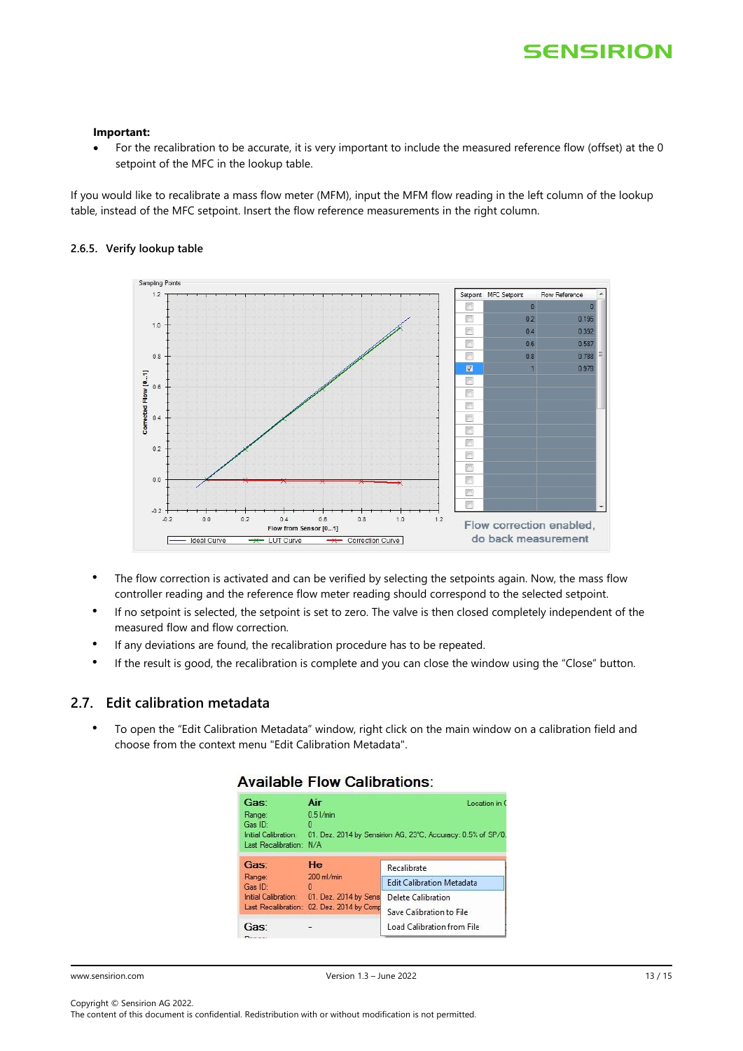#### **Important:**

• For the recalibration to be accurate, it is very important to include the measured reference flow (offset) at the 0 setpoint of the MFC in the lookup table.

If you would like to recalibrate a mass flow meter (MFM), input the MFM flow reading in the left column of the lookup table, instead of the MFC setpoint. Insert the flow reference measurements in the right column.

#### <span id="page-12-0"></span>**2.6.5. Verify lookup table**



- The flow correction is activated and can be verified by selecting the setpoints again. Now, the mass flow controller reading and the reference flow meter reading should correspond to the selected setpoint.
- If no setpoint is selected, the setpoint is set to zero. The valve is then closed completely independent of the measured flow and flow correction.
- If any deviations are found, the recalibration procedure has to be repeated.
- If the result is good, the recalibration is complete and you can close the window using the "Close" button.

### <span id="page-12-1"></span>**2.7. Edit calibration metadata**

• To open the "Edit Calibration Metadata" window, right click on the main window on a calibration field and choose from the context menu "Edit Calibration Metadata".

### **Available Flow Calibrations:**

| Gas:                                                                 | Air                                       | Location in C                                                |
|----------------------------------------------------------------------|-------------------------------------------|--------------------------------------------------------------|
| Range:<br>Gas ID:<br>Initial Calibration:<br>Last Recalibration: N/A | 0.51/min<br>o                             | 01. Dez. 2014 by Sensirion AG, 23°C, Accuracy: 0.5% of SP/0. |
| Gas:                                                                 | He                                        | Recalibrate                                                  |
| Range:<br>Gas ID:                                                    | 200 ml/min<br>Ð<br>01. Dez. 2014 by Sens  | <b>Edit Calibration Metadata</b>                             |
| Initial Calibration:                                                 |                                           | Delete Calibration                                           |
|                                                                      | Last Recalibration: 02. Dez. 2014 by Comp | Save Calibration to File                                     |
| Gas:<br><b>B</b> Constitution                                        |                                           | Load Calibration from File                                   |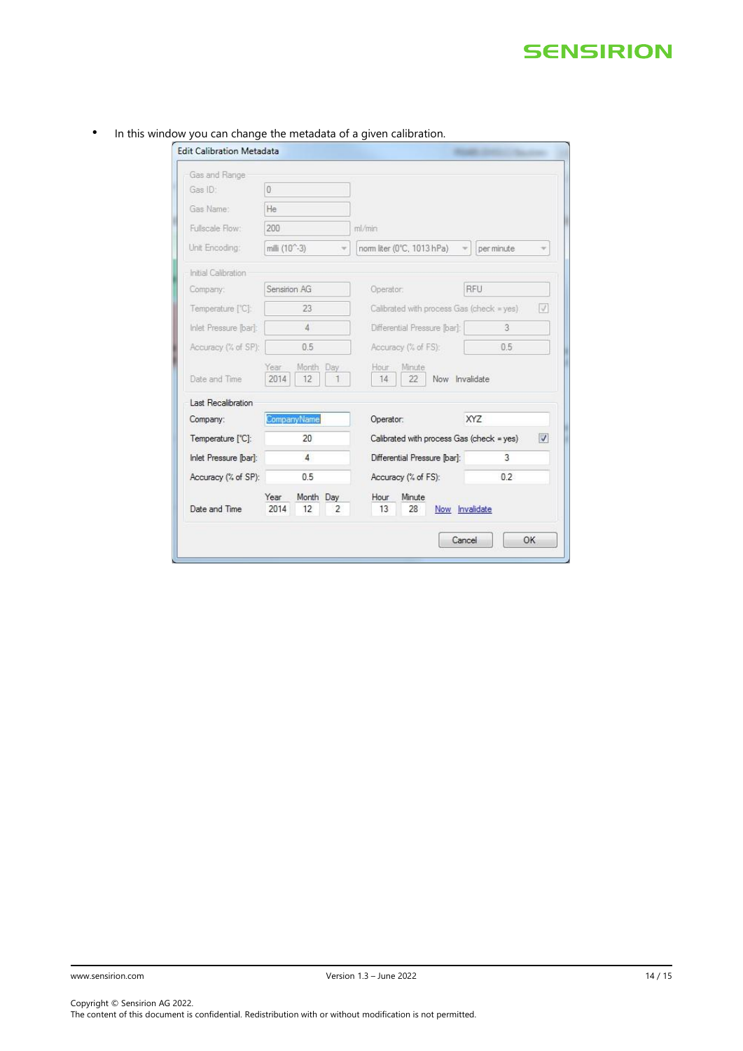| Gas and Range         |                                              |                                                   |                |  |
|-----------------------|----------------------------------------------|---------------------------------------------------|----------------|--|
| Gas ID:               | 0                                            |                                                   |                |  |
| Gas Name:             | He                                           |                                                   |                |  |
| Fullscale Flow:       | 200                                          | ml/min<br>nom liter (0°C, 1013 hPa)<br>per minute |                |  |
| Unit Encoding:        | milli (10 <sup>-2</sup> -3)<br>$\mathcal{L}$ |                                                   |                |  |
| Initial Calibration   |                                              |                                                   |                |  |
| Company:              | Sensirion AG                                 | Operator:                                         | RFU            |  |
| Temperature ['C]:     | 23                                           | Calibrated with process Gas (check = yes)<br>V    |                |  |
| Inlet Pressure [bar]: | $\Delta$                                     | Differential Pressure [bar]:                      | 3              |  |
| Accuracy (% of SP):   | 0.5                                          | Accuracy (% of FS):                               | 0.5            |  |
| Date and Time         | Month Day<br>Year<br>2014<br>12              | Hour<br>Minute<br>Now Invalidate<br>14<br>22      |                |  |
| Last Recalibration    |                                              |                                                   |                |  |
| Company:              | CompanyName                                  | Operator:                                         | <b>XYZ</b>     |  |
| Temperature [°C]:     | 20                                           | Calibrated with process Gas (check = yes)         |                |  |
| Inlet Pressure [bar]: | $\overline{4}$                               | Differential Pressure [bar]:                      | 3              |  |
| Accuracy (% of SP):   | 0.5                                          | Accuracy (% of FS):                               | 0.2            |  |
| Date and Time         | Year<br>Month Day<br>2014<br>12<br>2         | Hour<br>Minute<br>13<br>28                        | Now Invalidate |  |

### • In this window you can change the metadata of a given calibration.